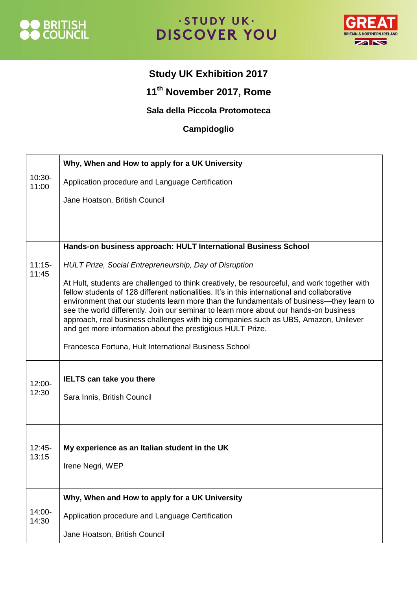

## · STUDY UK· **DISCOVER YOU**



## **Study UK Exhibition 2017**

**11th November 2017, Rome**

## **Sala della Piccola Protomoteca**

## **Campidoglio**

|                    | Why, When and How to apply for a UK University                                                                                                                                                                                                                                                                                                                                                                                                                                                                                         |
|--------------------|----------------------------------------------------------------------------------------------------------------------------------------------------------------------------------------------------------------------------------------------------------------------------------------------------------------------------------------------------------------------------------------------------------------------------------------------------------------------------------------------------------------------------------------|
| $10:30-$<br>11:00  | Application procedure and Language Certification                                                                                                                                                                                                                                                                                                                                                                                                                                                                                       |
|                    | Jane Hoatson, British Council                                                                                                                                                                                                                                                                                                                                                                                                                                                                                                          |
|                    |                                                                                                                                                                                                                                                                                                                                                                                                                                                                                                                                        |
|                    |                                                                                                                                                                                                                                                                                                                                                                                                                                                                                                                                        |
|                    | Hands-on business approach: HULT International Business School                                                                                                                                                                                                                                                                                                                                                                                                                                                                         |
| $11:15-$<br>11:45  | HULT Prize, Social Entrepreneurship, Day of Disruption                                                                                                                                                                                                                                                                                                                                                                                                                                                                                 |
|                    | At Hult, students are challenged to think creatively, be resourceful, and work together with<br>fellow students of 128 different nationalities. It's in this international and collaborative<br>environment that our students learn more than the fundamentals of business—they learn to<br>see the world differently. Join our seminar to learn more about our hands-on business<br>approach, real business challenges with big companies such as UBS, Amazon, Unilever<br>and get more information about the prestigious HULT Prize. |
|                    | Francesca Fortuna, Hult International Business School                                                                                                                                                                                                                                                                                                                                                                                                                                                                                  |
|                    | <b>IELTS can take you there</b>                                                                                                                                                                                                                                                                                                                                                                                                                                                                                                        |
| $12:00 -$<br>12:30 | Sara Innis, British Council                                                                                                                                                                                                                                                                                                                                                                                                                                                                                                            |
|                    |                                                                                                                                                                                                                                                                                                                                                                                                                                                                                                                                        |
|                    |                                                                                                                                                                                                                                                                                                                                                                                                                                                                                                                                        |
| $12:45-$<br>13:15  | My experience as an Italian student in the UK                                                                                                                                                                                                                                                                                                                                                                                                                                                                                          |
|                    | Irene Negri, WEP                                                                                                                                                                                                                                                                                                                                                                                                                                                                                                                       |
|                    |                                                                                                                                                                                                                                                                                                                                                                                                                                                                                                                                        |
| 14:00-<br>14:30    | Why, When and How to apply for a UK University                                                                                                                                                                                                                                                                                                                                                                                                                                                                                         |
|                    | Application procedure and Language Certification                                                                                                                                                                                                                                                                                                                                                                                                                                                                                       |
|                    | Jane Hoatson, British Council                                                                                                                                                                                                                                                                                                                                                                                                                                                                                                          |